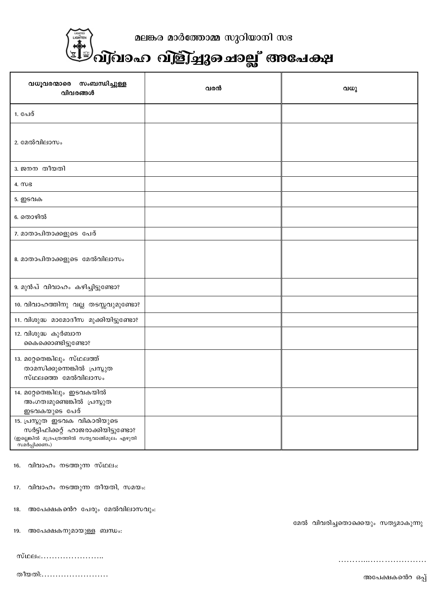

മലങ്കര മാർത്തോമ്മ സുറിയാനി സഭ

## ,<br>എ്വാഹ വിളിച്ചുചൊല്ല് അപേക്ഷ

| വധൂവരന്മാരെ സംബന്ധിച്ചുള്ള<br>വിവരങ്ങൾ                                                                                                  | വരൻ | വധു |
|-----------------------------------------------------------------------------------------------------------------------------------------|-----|-----|
| 1. പേര്                                                                                                                                 |     |     |
| 2. മേൽവിലാസം                                                                                                                            |     |     |
| 3. ജനന തീയതി                                                                                                                            |     |     |
| $4. \omega$                                                                                                                             |     |     |
| 5. ഇടവക                                                                                                                                 |     |     |
| 6. തൊഴിൽ                                                                                                                                |     |     |
| 7. മാതാപിതാക്കളുടെ പേര്                                                                                                                 |     |     |
| 8. മാതാപിതാക്കളുടെ മേൽവിലാസം                                                                                                            |     |     |
| 9. മുൻപ് വിവാഹം കഴിച്ചിട്ടുണ്ടോ?                                                                                                        |     |     |
| 10. വിവാഹത്തിനു വല്ല തടസ്സവുമുണ്ടോ?                                                                                                     |     |     |
| 11. വിശുദ്ധ മാമോദീസ മുക്കിയിട്ടുണ്ടോ?                                                                                                   |     |     |
| 12. വിശുദ്ധ കുർബാന<br>കൈക്കൊണ്ടിട്ടുണ്ടോ?                                                                                               |     |     |
| 13. മറ്റേതെങ്കിലും സ്ഥലത്ത്<br>താമസിക്കുന്നെങ്കിൽ പ്രസ്തുത<br>സ്ഥലത്തെ മേൽവിലാസം                                                        |     |     |
| 14. മറ്റേതെങ്കിലും ഇടവകയിൽ<br>അംഗത്വമുണ്ടെങ്കിൽ പ്രസ്തുത<br>ഇടവകയുടെ പേര്                                                               |     |     |
| 15. പ്രസ്തുത ഇടവക വികാരിയുടെ<br>സർട്ടിഫിക്കറ്റ് ഹാജരാക്കിയിട്ടുണ്ടോ?<br>(ഇല്ലെങ്കിൽ മുദ്രപത്രത്തിൽ സതൃവാങ്ങ്മൂലം എഴുതി<br>സമർപ്പിക്കണം) |     |     |

വിവാഹം നടത്തുന്ന സ്ഥലം:  $16.$ 

വിവാഹം നടത്തുന്ന തീയതി, സമയം: 17.

അപേക്ഷകൻെറ പേരും മേൽവിലാസവും: 18.

19. അപേക്ഷകനുമായുള്ള ബന്ധം:

| സ്ഥലം: |  |  |  |  |  |  |  |  |
|--------|--|--|--|--|--|--|--|--|
|--------|--|--|--|--|--|--|--|--|

തീയതി……………………

മേൽ വിവരിച്ചതൊക്കെയും സത്യമാകുന്നു

അപേക്ഷകൻെറ ഒപ്പ്